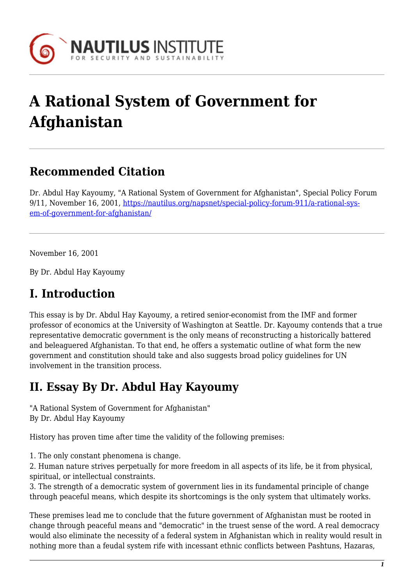

# **A Rational System of Government for Afghanistan**

### **Recommended Citation**

Dr. Abdul Hay Kayoumy, "A Rational System of Government for Afghanistan", Special Policy Forum 9/11, November 16, 2001, [https://nautilus.org/napsnet/special-policy-forum-911/a-rational-sys](https://nautilus.org/napsnet/special-policy-forum-911/a-rational-system-of-government-for-afghanistan/)[em-of-government-for-afghanistan/](https://nautilus.org/napsnet/special-policy-forum-911/a-rational-system-of-government-for-afghanistan/)

November 16, 2001

By Dr. Abdul Hay Kayoumy

### **I. Introduction**

This essay is by Dr. Abdul Hay Kayoumy, a retired senior-economist from the IMF and former professor of economics at the University of Washington at Seattle. Dr. Kayoumy contends that a true representative democratic government is the only means of reconstructing a historically battered and beleaguered Afghanistan. To that end, he offers a systematic outline of what form the new government and constitution should take and also suggests broad policy guidelines for UN involvement in the transition process.

## **II. Essay By Dr. Abdul Hay Kayoumy**

"A Rational System of Government for Afghanistan" By Dr. Abdul Hay Kayoumy

History has proven time after time the validity of the following premises:

1. The only constant phenomena is change.

2. Human nature strives perpetually for more freedom in all aspects of its life, be it from physical, spiritual, or intellectual constraints.

3. The strength of a democratic system of government lies in its fundamental principle of change through peaceful means, which despite its shortcomings is the only system that ultimately works.

These premises lead me to conclude that the future government of Afghanistan must be rooted in change through peaceful means and "democratic" in the truest sense of the word. A real democracy would also eliminate the necessity of a federal system in Afghanistan which in reality would result in nothing more than a feudal system rife with incessant ethnic conflicts between Pashtuns, Hazaras,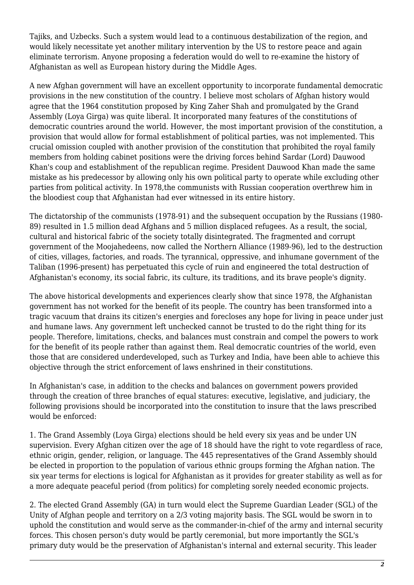Tajiks, and Uzbecks. Such a system would lead to a continuous destabilization of the region, and would likely necessitate yet another military intervention by the US to restore peace and again eliminate terrorism. Anyone proposing a federation would do well to re-examine the history of Afghanistan as well as European history during the Middle Ages.

A new Afghan government will have an excellent opportunity to incorporate fundamental democratic provisions in the new constitution of the country. I believe most scholars of Afghan history would agree that the 1964 constitution proposed by King Zaher Shah and promulgated by the Grand Assembly (Loya Girga) was quite liberal. It incorporated many features of the constitutions of democratic countries around the world. However, the most important provision of the constitution, a provision that would allow for formal establishment of political parties, was not implemented. This crucial omission coupled with another provision of the constitution that prohibited the royal family members from holding cabinet positions were the driving forces behind Sardar (Lord) Dauwood Khan's coup and establishment of the republican regime. President Dauwood Khan made the same mistake as his predecessor by allowing only his own political party to operate while excluding other parties from political activity. In 1978,the communists with Russian cooperation overthrew him in the bloodiest coup that Afghanistan had ever witnessed in its entire history.

The dictatorship of the communists (1978-91) and the subsequent occupation by the Russians (1980- 89) resulted in 1.5 million dead Afghans and 5 million displaced refugees. As a result, the social, cultural and historical fabric of the society totally disintegrated. The fragmented and corrupt government of the Moojahedeens, now called the Northern Alliance (1989-96), led to the destruction of cities, villages, factories, and roads. The tyrannical, oppressive, and inhumane government of the Taliban (1996-present) has perpetuated this cycle of ruin and engineered the total destruction of Afghanistan's economy, its social fabric, its culture, its traditions, and its brave people's dignity.

The above historical developments and experiences clearly show that since 1978, the Afghanistan government has not worked for the benefit of its people. The country has been transformed into a tragic vacuum that drains its citizen's energies and forecloses any hope for living in peace under just and humane laws. Any government left unchecked cannot be trusted to do the right thing for its people. Therefore, limitations, checks, and balances must constrain and compel the powers to work for the benefit of its people rather than against them. Real democratic countries of the world, even those that are considered underdeveloped, such as Turkey and India, have been able to achieve this objective through the strict enforcement of laws enshrined in their constitutions.

In Afghanistan's case, in addition to the checks and balances on government powers provided through the creation of three branches of equal statures: executive, legislative, and judiciary, the following provisions should be incorporated into the constitution to insure that the laws prescribed would be enforced:

1. The Grand Assembly (Loya Girga) elections should be held every six yeas and be under UN supervision. Every Afghan citizen over the age of 18 should have the right to vote regardless of race, ethnic origin, gender, religion, or language. The 445 representatives of the Grand Assembly should be elected in proportion to the population of various ethnic groups forming the Afghan nation. The six year terms for elections is logical for Afghanistan as it provides for greater stability as well as for a more adequate peaceful period (from politics) for completing sorely needed economic projects.

2. The elected Grand Assembly (GA) in turn would elect the Supreme Guardian Leader (SGL) of the Unity of Afghan people and territory on a 2/3 voting majority basis. The SGL would be sworn in to uphold the constitution and would serve as the commander-in-chief of the army and internal security forces. This chosen person's duty would be partly ceremonial, but more importantly the SGL's primary duty would be the preservation of Afghanistan's internal and external security. This leader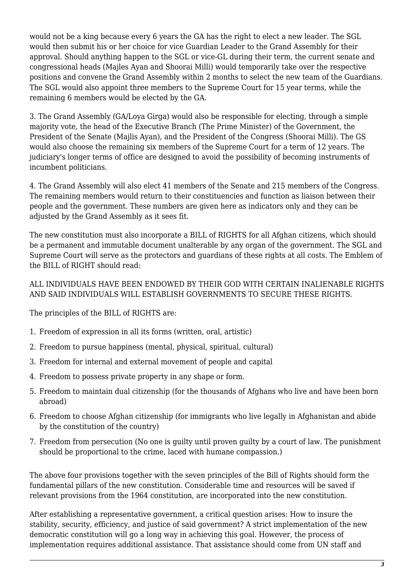would not be a king because every 6 years the GA has the right to elect a new leader. The SGL would then submit his or her choice for vice Guardian Leader to the Grand Assembly for their approval. Should anything happen to the SGL or vice-GL during their term, the current senate and congressional heads (Majles Ayan and Shoorai Milli) would temporarily take over the respective positions and convene the Grand Assembly within 2 months to select the new team of the Guardians. The SGL would also appoint three members to the Supreme Court for 15 year terms, while the remaining 6 members would be elected by the GA.

3. The Grand Assembly (GA/Loya Girga) would also be responsible for electing, through a simple majority vote, the head of the Executive Branch (The Prime Minister) of the Government, the President of the Senate (Majlis Ayan), and the President of the Congress (Shoorai Milli). The GS would also choose the remaining six members of the Supreme Court for a term of 12 years. The judiciary's longer terms of office are designed to avoid the possibility of becoming instruments of incumbent politicians.

4. The Grand Assembly will also elect 41 members of the Senate and 215 members of the Congress. The remaining members would return to their constituencies and function as liaison between their people and the government. These numbers are given here as indicators only and they can be adjusted by the Grand Assembly as it sees fit.

The new constitution must also incorporate a BILL of RIGHTS for all Afghan citizens, which should be a permanent and immutable document unalterable by any organ of the government. The SGL and Supreme Court will serve as the protectors and guardians of these rights at all costs. The Emblem of the BILL of RIGHT should read:

#### ALL INDIVIDUALS HAVE BEEN ENDOWED BY THEIR GOD WITH CERTAIN INALIENABLE RIGHTS AND SAID INDIVIDUALS WILL ESTABLISH GOVERNMENTS TO SECURE THESE RIGHTS.

The principles of the BILL of RIGHTS are:

- 1. Freedom of expression in all its forms (written, oral, artistic)
- 2. Freedom to pursue happiness (mental, physical, spiritual, cultural)
- 3. Freedom for internal and external movement of people and capital
- 4. Freedom to possess private property in any shape or form.
- 5. Freedom to maintain dual citizenship (for the thousands of Afghans who live and have been born abroad)
- 6. Freedom to choose Afghan citizenship (for immigrants who live legally in Afghanistan and abide by the constitution of the country)
- 7. Freedom from persecution (No one is guilty until proven guilty by a court of law. The punishment should be proportional to the crime, laced with humane compassion.)

The above four provisions together with the seven principles of the Bill of Rights should form the fundamental pillars of the new constitution. Considerable time and resources will be saved if relevant provisions from the 1964 constitution, are incorporated into the new constitution.

After establishing a representative government, a critical question arises: How to insure the stability, security, efficiency, and justice of said government? A strict implementation of the new democratic constitution will go a long way in achieving this goal. However, the process of implementation requires additional assistance. That assistance should come from UN staff and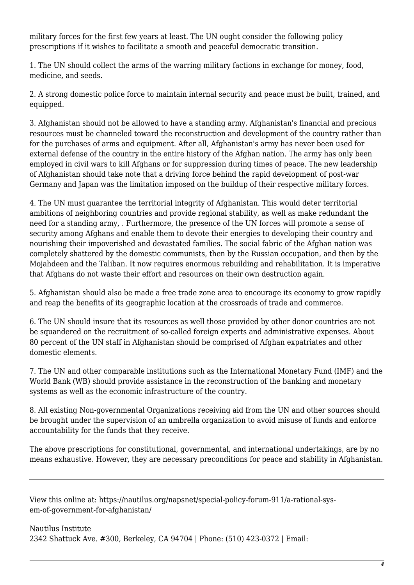military forces for the first few years at least. The UN ought consider the following policy prescriptions if it wishes to facilitate a smooth and peaceful democratic transition.

1. The UN should collect the arms of the warring military factions in exchange for money, food, medicine, and seeds.

2. A strong domestic police force to maintain internal security and peace must be built, trained, and equipped.

3. Afghanistan should not be allowed to have a standing army. Afghanistan's financial and precious resources must be channeled toward the reconstruction and development of the country rather than for the purchases of arms and equipment. After all, Afghanistan's army has never been used for external defense of the country in the entire history of the Afghan nation. The army has only been employed in civil wars to kill Afghans or for suppression during times of peace. The new leadership of Afghanistan should take note that a driving force behind the rapid development of post-war Germany and Japan was the limitation imposed on the buildup of their respective military forces.

4. The UN must guarantee the territorial integrity of Afghanistan. This would deter territorial ambitions of neighboring countries and provide regional stability, as well as make redundant the need for a standing army, . Furthermore, the presence of the UN forces will promote a sense of security among Afghans and enable them to devote their energies to developing their country and nourishing their impoverished and devastated families. The social fabric of the Afghan nation was completely shattered by the domestic communists, then by the Russian occupation, and then by the Mojahdeen and the Taliban. It now requires enormous rebuilding and rehabilitation. It is imperative that Afghans do not waste their effort and resources on their own destruction again.

5. Afghanistan should also be made a free trade zone area to encourage its economy to grow rapidly and reap the benefits of its geographic location at the crossroads of trade and commerce.

6. The UN should insure that its resources as well those provided by other donor countries are not be squandered on the recruitment of so-called foreign experts and administrative expenses. About 80 percent of the UN staff in Afghanistan should be comprised of Afghan expatriates and other domestic elements.

7. The UN and other comparable institutions such as the International Monetary Fund (IMF) and the World Bank (WB) should provide assistance in the reconstruction of the banking and monetary systems as well as the economic infrastructure of the country.

8. All existing Non-governmental Organizations receiving aid from the UN and other sources should be brought under the supervision of an umbrella organization to avoid misuse of funds and enforce accountability for the funds that they receive.

The above prescriptions for constitutional, governmental, and international undertakings, are by no means exhaustive. However, they are necessary preconditions for peace and stability in Afghanistan.

View this online at: https://nautilus.org/napsnet/special-policy-forum-911/a-rational-sysem-of-government-for-afghanistan/

Nautilus Institute 2342 Shattuck Ave. #300, Berkeley, CA 94704 | Phone: (510) 423-0372 | Email: